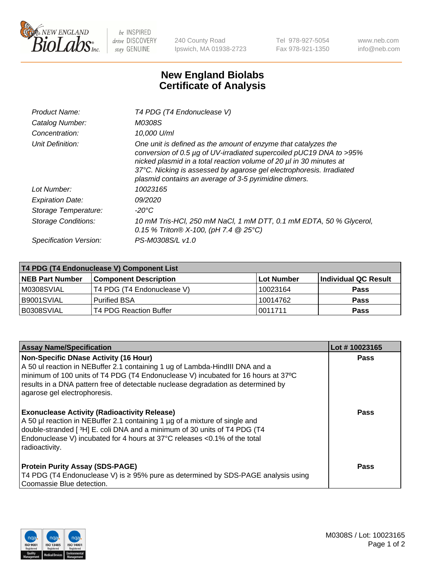

 $be$  INSPIRED drive DISCOVERY stay GENUINE

240 County Road Ipswich, MA 01938-2723 Tel 978-927-5054 Fax 978-921-1350 www.neb.com info@neb.com

## **New England Biolabs Certificate of Analysis**

| Product Name:           | T4 PDG (T4 Endonuclease V)                                                                                                                                                                                                                                                                                                                    |
|-------------------------|-----------------------------------------------------------------------------------------------------------------------------------------------------------------------------------------------------------------------------------------------------------------------------------------------------------------------------------------------|
| Catalog Number:         | M0308S                                                                                                                                                                                                                                                                                                                                        |
| Concentration:          | 10,000 U/ml                                                                                                                                                                                                                                                                                                                                   |
| Unit Definition:        | One unit is defined as the amount of enzyme that catalyzes the<br>conversion of 0.5 µg of UV-irradiated supercoiled pUC19 DNA to >95%<br>nicked plasmid in a total reaction volume of 20 µl in 30 minutes at<br>37°C. Nicking is assessed by agarose gel electrophoresis. Irradiated<br>plasmid contains an average of 3-5 pyrimidine dimers. |
| Lot Number:             | 10023165                                                                                                                                                                                                                                                                                                                                      |
| <b>Expiration Date:</b> | 09/2020                                                                                                                                                                                                                                                                                                                                       |
| Storage Temperature:    | -20°C                                                                                                                                                                                                                                                                                                                                         |
| Storage Conditions:     | 10 mM Tris-HCl, 250 mM NaCl, 1 mM DTT, 0.1 mM EDTA, 50 % Glycerol,<br>0.15 % Triton® X-100, (pH 7.4 @ 25°C)                                                                                                                                                                                                                                   |
| Specification Version:  | PS-M0308S/L v1.0                                                                                                                                                                                                                                                                                                                              |

| T4 PDG (T4 Endonuclease V) Component List |                              |              |                      |  |
|-------------------------------------------|------------------------------|--------------|----------------------|--|
| <b>NEB Part Number</b>                    | <b>Component Description</b> | l Lot Number | Individual QC Result |  |
| M0308SVIAL                                | T4 PDG (T4 Endonuclease V)   | 10023164     | <b>Pass</b>          |  |
| B9001SVIAL                                | <b>Purified BSA</b>          | 10014762     | <b>Pass</b>          |  |
| B0308SVIAL                                | T4 PDG Reaction Buffer       | 10011711     | <b>Pass</b>          |  |

| <b>Assay Name/Specification</b>                                                                                                                                                                                                                                                                                                        | Lot #10023165 |
|----------------------------------------------------------------------------------------------------------------------------------------------------------------------------------------------------------------------------------------------------------------------------------------------------------------------------------------|---------------|
| <b>Non-Specific DNase Activity (16 Hour)</b><br>A 50 ul reaction in NEBuffer 2.1 containing 1 ug of Lambda-HindIII DNA and a<br>minimum of 100 units of T4 PDG (T4 Endonuclease V) incubated for 16 hours at 37°C<br>results in a DNA pattern free of detectable nuclease degradation as determined by<br>agarose gel electrophoresis. | <b>Pass</b>   |
| <b>Exonuclease Activity (Radioactivity Release)</b><br>A 50 µl reaction in NEBuffer 2.1 containing 1 µg of a mixture of single and<br>double-stranded [3H] E. coli DNA and a minimum of 30 units of T4 PDG (T4<br>Endonuclease V) incubated for 4 hours at 37°C releases <0.1% of the total<br>radioactivity.                          | <b>Pass</b>   |
| <b>Protein Purity Assay (SDS-PAGE)</b><br>T4 PDG (T4 Endonuclease V) is ≥ 95% pure as determined by SDS-PAGE analysis using<br>Coomassie Blue detection.                                                                                                                                                                               | Pass          |